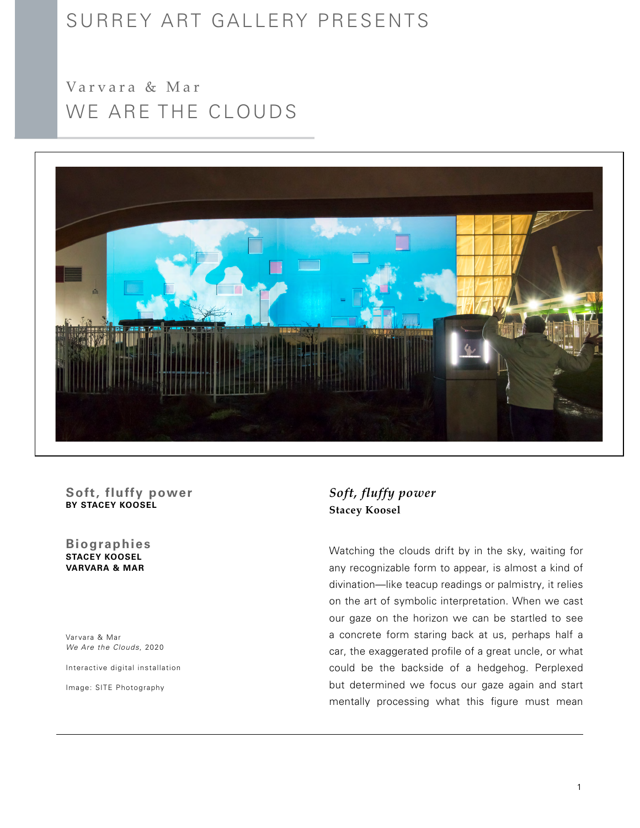# SURREY ART GALLERY PRESENTS

WE ARE THE CLOUDS Varvara & Mar



### **Soft, fluffy power BY STACEY KOOSEL**

**STACEY KOOSEL VARVARA & MAR Biographies**

Varvara & Mar *We Are the Clouds*, 2020

Interactive digital installation

Image: SITE Photography

## *Soft, fluffy power* **Stacey Koosel**

Watching the clouds drift by in the sky, waiting for any recognizable form to appear, is almost a kind of divination—like teacup readings or palmistry, it relies on the art of symbolic interpretation. When we cast our gaze on the horizon we can be startled to see a concrete form staring back at us, perhaps half a car, the exaggerated profile of a great uncle, or what could be the backside of a hedgehog. Perplexed but determined we focus our gaze again and start mentally processing what this figure must mean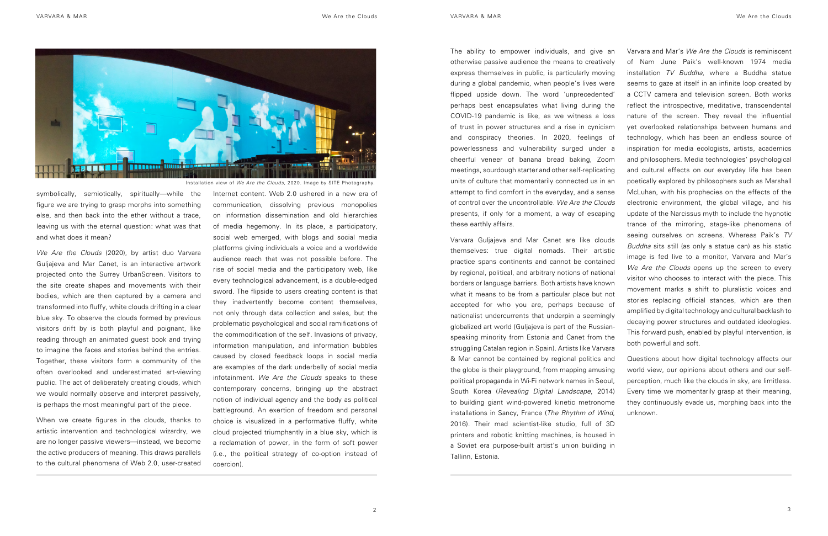symbolically, semiotically, spiritually—while the figure we are trying to grasp morphs into something else, and then back into the ether without a trace, leaving us with the eternal question: what was that and what does it mean?

*We Are the Clouds* (2020), by artist duo Varvara Guljajeva and Mar Canet, is an interactive artwork projected onto the Surrey UrbanScreen. Visitors to the site create shapes and movements with their bodies, which are then captured by a camera and transformed into fluffy, white clouds drifting in a clear blue sky. To observe the clouds formed by previous visitors drift by is both playful and poignant, like reading through an animated guest book and trying to imagine the faces and stories behind the entries. Together, these visitors form a community of the often overlooked and underestimated art-viewing public. The act of deliberately creating clouds, which we would normally observe and interpret passively, is perhaps the most meaningful part of the piece.

When we create figures in the clouds, thanks to artistic intervention and technological wizardry, we are no longer passive viewers—instead, we become the active producers of meaning. This draws parallels to the cultural phenomena of Web 2.0, user-created

Internet content. Web 2.0 ushered in a new era of communication, dissolving previous monopolies on information dissemination and old hierarchies of media hegemony. In its place, a participatory, social web emerged, with blogs and social media platforms giving individuals a voice and a worldwide audience reach that was not possible before. The rise of social media and the participatory web, like every technological advancement, is a double-edged sword. The flipside to users creating content is that they inadvertently become content themselves, not only through data collection and sales, but the problematic psychological and social ramifications of the commodification of the self. Invasions of privacy, information manipulation, and information bubbles caused by closed feedback loops in social media are examples of the dark underbelly of social media infotainment. *We Are the Clouds* speaks to these contemporary concerns, bringing up the abstract notion of individual agency and the body as political battleground. An exertion of freedom and personal choice is visualized in a performative fluffy, white cloud projected triumphantly in a blue sky, which is a reclamation of power, in the form of soft power (i.e., the political strategy of co-option instead of coercion).

The ability to empower individuals, and give an otherwise passive audience the means to creatively express themselves in public, is particularly moving during a global pandemic, when people's lives were flipped upside down. The word 'unprecedented' perhaps best encapsulates what living during the COVID-19 pandemic is like, as we witness a loss of trust in power structures and a rise in cynicism and conspiracy theories. In 2020, feelings of powerlessness and vulnerability surged under a cheerful veneer of banana bread baking, Zoom meetings, sourdough starter and other self-replicating units of culture that momentarily connected us in an attempt to find comfort in the everyday, and a sense of control over the uncontrollable. *We Are the Clouds*  presents, if only for a moment, a way of escaping these earthly affairs. Varvara Guljajeva and Mar Canet are like clouds themselves: true digital nomads. Their artistic practice spans continents and cannot be contained by regional, political, and arbitrary notions of national borders or language barriers. Both artists have known what it means to be from a particular place but not accepted for who you are, perhaps because of nationalist undercurrents that underpin a seemingly globalized art world (Guljajeva is part of the Russianspeaking minority from Estonia and Canet from the Varvara and Mar's *We Are the Clouds* is reminiscent of Nam June Paik's well-known 1974 media installation *TV Buddha*, where a Buddha statue seems to gaze at itself in an infinite loop created by a CCTV camera and television screen. Both works reflect the introspective, meditative, transcendental nature of the screen. They reveal the influential yet overlooked relationships between humans and technology, which has been an endless source of inspiration for media ecologists, artists, academics and philosophers. Media technologies' psychological and cultural effects on our everyday life has been poetically explored by philosophers such as Marshall McLuhan, with his prophecies on the effects of the electronic environment, the global village, and his update of the Narcissus myth to include the hypnotic trance of the mirroring, stage-like phenomena of seeing ourselves on screens. Whereas Paik's *TV Buddha* sits still (as only a statue can) as his static image is fed live to a monitor, Varvara and Mar's *We Are the Clouds* opens up the screen to every visitor who chooses to interact with the piece. This movement marks a shift to pluralistic voices and stories replacing official stances, which are then amplified by digital technology and cultural backlash to decaying power structures and outdated ideologies. This forward push, enabled by playful intervention, is

struggling Catalan region in Spain). Artists like Varvara & Mar cannot be contained by regional politics and the globe is their playground, from mapping amusing political propaganda in Wi-Fi network names in Seoul, South Korea (*Revealing Digital Landscape*, 2014) to building giant wind-powered kinetic metronome installations in Sancy, France (*The Rhythm of Wind*, 2016). Their mad scientist-like studio, full of 3D printers and robotic knitting machines, is housed in a Soviet era purpose-built artist's union building in Tallinn, Estonia. both powerful and soft. Questions about how digital technology affects our world view, our opinions about others and our selfperception, much like the clouds in sky, are limitless. Every time we momentarily grasp at their meaning, they continuously evade us, morphing back into the unknown.



Installation view of *We Are the Clouds,* 2020*.* Image by SITE Photography.

- 
- 
-